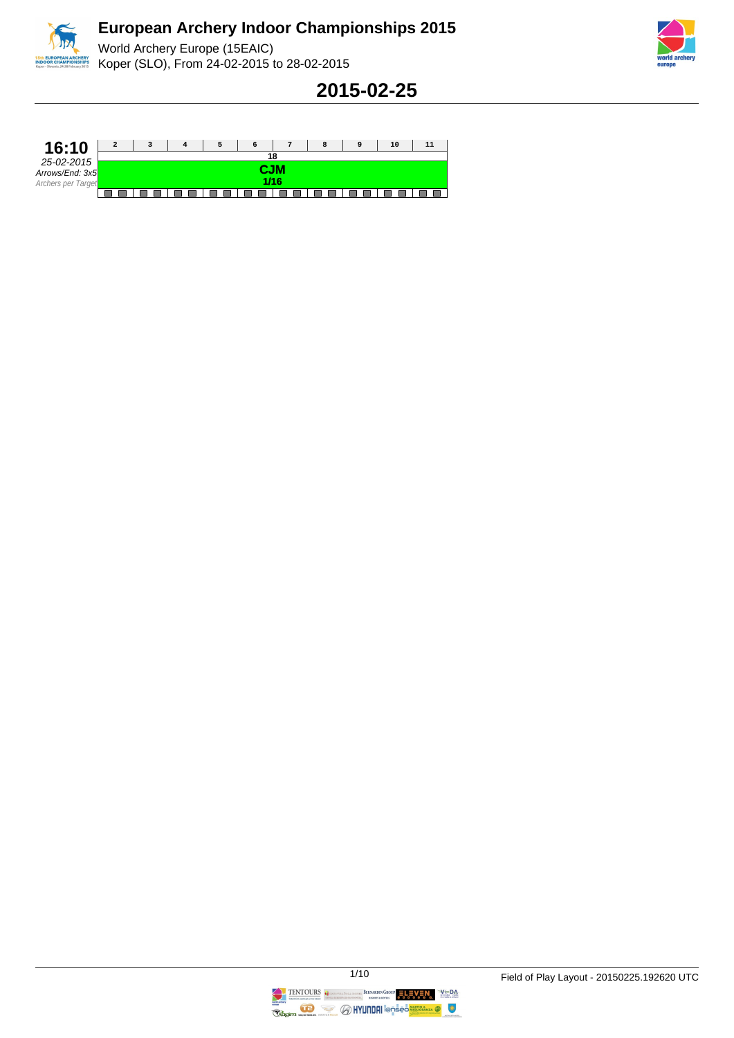





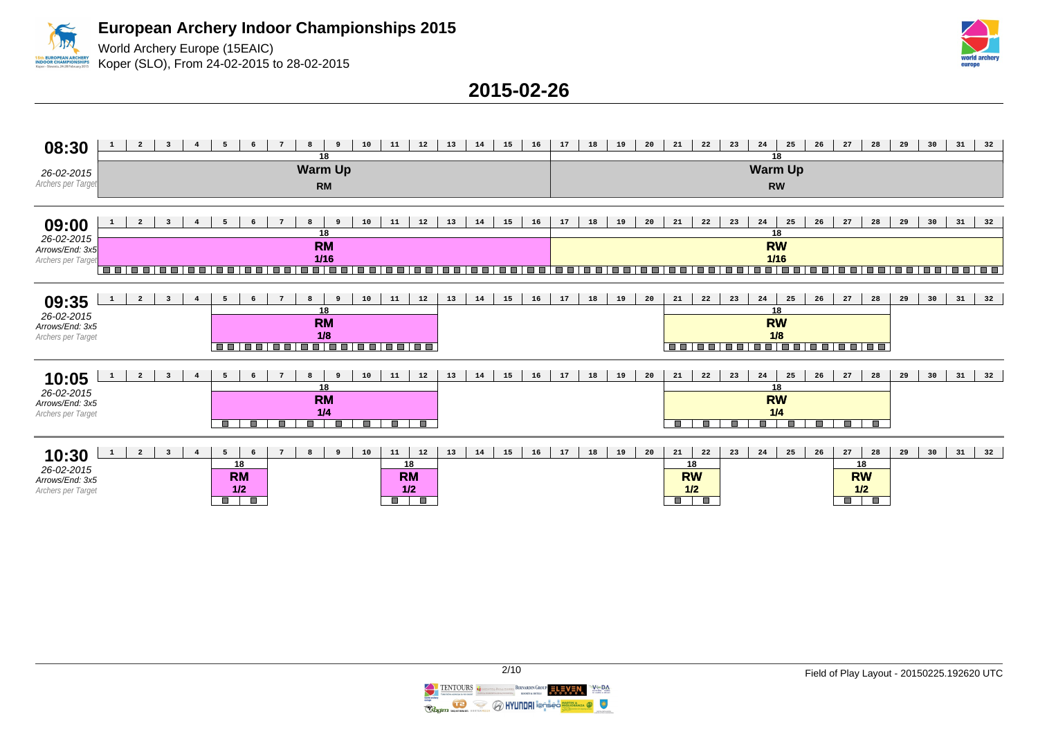World Archery Europe (15EAIC) Koper (SLO), From 24-02-2015 to 28-02-2015



| 08:30                                                        |                             | $\overline{a}$ | $\overline{\mathbf{3}}$ |                    | 5                        |                                        |                     | 8<br>18                                          |              | 10      | 11                                             | 12                          | 13 | 14 | 15 | 16 | 17 | 18 | 19 | 20 | 21                                                | 22      | 23                   | 24<br>18                          | 25      | 26      | 27                                     | 28           | 29 | 30 | 31 | 32 |
|--------------------------------------------------------------|-----------------------------|----------------|-------------------------|--------------------|--------------------------|----------------------------------------|---------------------|--------------------------------------------------|--------------|---------|------------------------------------------------|-----------------------------|----|----|----|----|----|----|----|----|---------------------------------------------------|---------|----------------------|-----------------------------------|---------|---------|----------------------------------------|--------------|----|----|----|----|
| 26-02-2015<br>Archers per Target                             | <b>Warm Up</b><br><b>RM</b> |                |                         |                    |                          |                                        |                     |                                                  |              |         |                                                | <b>Warm Up</b><br><b>RW</b> |    |    |    |    |    |    |    |    |                                                   |         |                      |                                   |         |         |                                        |              |    |    |    |    |
| 09:00<br>26-02-2015<br>Arrows/End: 3x5                       |                             |                |                         |                    |                          |                                        |                     | 8<br>18<br><b>RM</b>                             | 9            | 10      | 11                                             | 12                          | 13 | 14 | 15 | 16 | 17 | 18 | 19 | 20 | 21                                                | 22      | 23                   | 24<br>18<br><b>RW</b>             | 25      | 26      | 27                                     | 28           | 29 | 30 | 31 | 32 |
| Archers per Target                                           |                             |                |                         |                    |                          |                                        |                     | $1/16$                                           |              |         |                                                |                             |    |    |    |    |    |    |    |    |                                                   |         |                      | $1/16$                            |         |         |                                        |              |    |    |    |    |
| 09:35<br>26-02-2015<br>Arrows/End: 3x5<br>Archers per Target | 1                           | $\overline{a}$ | $\overline{\mathbf{3}}$ |                    | 5                        | 6                                      | $7\phantom{1}$      | 8<br>18<br><b>RM</b><br>1/8<br>----------------- | $\mathbf{q}$ | 10      | 11                                             | 12                          | 13 | 14 | 15 | 16 | 17 | 18 | 19 | 20 | 21                                                | 22      | 23                   | 24<br>18<br><b>RW</b><br>1/8      | 25      | 26      | 27                                     | 28           | 29 | 30 | 31 | 32 |
| 10:05<br>26-02-2015<br>Arrows/End: 3x5<br>Archers per Target |                             | $\overline{a}$ | $\overline{\mathbf{3}}$ | $\overline{\bf 4}$ | 5<br>П                   | 6<br>П                                 | $7\phantom{1}$<br>П | 8<br>18<br><b>RM</b><br>1/4<br>$\Box$            | 9<br>П       | 10<br>П | 11<br><b>The Second Service</b>                | 12<br>$\blacksquare$        | 13 | 14 | 15 | 16 | 17 | 18 | 19 | 20 | 21<br>T.                                          | 22<br>ш | 23<br>$\blacksquare$ | 24<br>18<br><b>RW</b><br>1/4<br>Π | 25<br>П | 26<br>п | 27<br>Ō.                               | 28<br>O      | 29 | 30 | 31 | 32 |
| 10:30<br>26-02-2015<br>Arrows/End: 3x5<br>Archers per Target | $\mathbf{1}$                | $\overline{a}$ | $\overline{\mathbf{3}}$ | $\overline{4}$     | 5<br><b>The Contract</b> | -6<br>18<br><b>RM</b><br>1/2<br>$\Box$ |                     | 8                                                | 9            | 10      | 11<br>18<br><b>RM</b><br>1/2<br>$\blacksquare$ | 12                          | 13 | 14 | 15 | 16 | 17 | 18 | 19 | 20 | 21<br>18<br><b>RW</b><br>1/2<br>$\Box$ and $\Box$ | 22      | 23                   | 24                                | 25      | 26      | 27<br>18<br><b>RW</b><br>1/2<br>$\Box$ | 28<br>$\Box$ | 29 | 30 | 31 | 32 |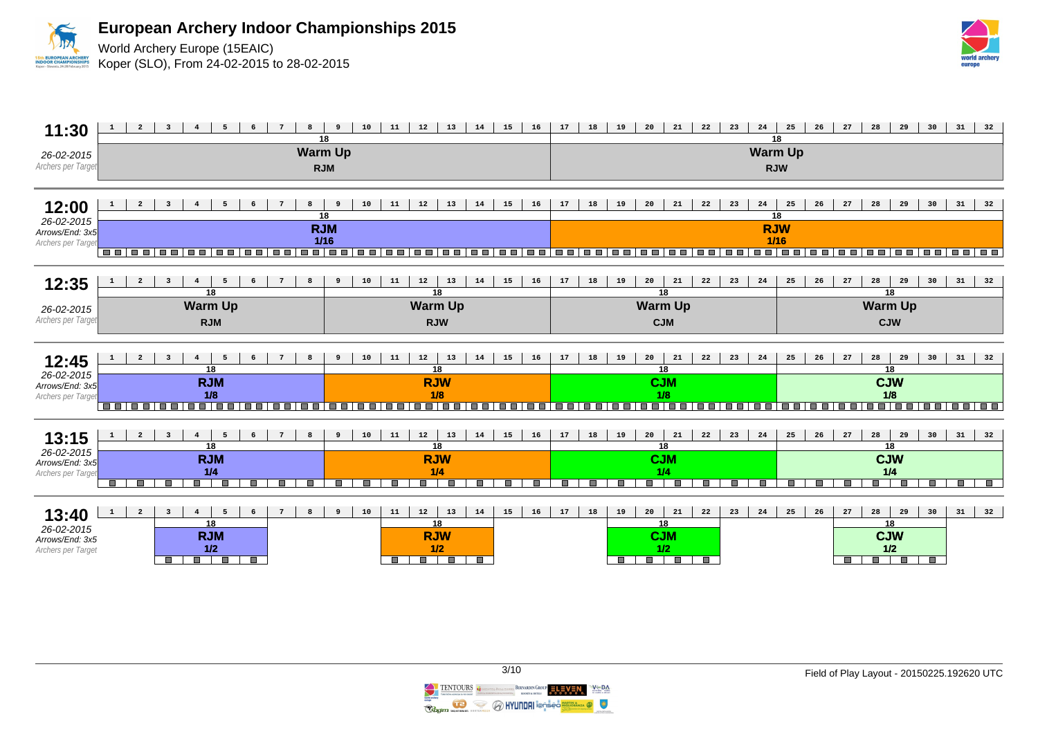

World Archery Europe (15EAIC) Koper (SLO), From 24-02-2015 to 28-02-2015





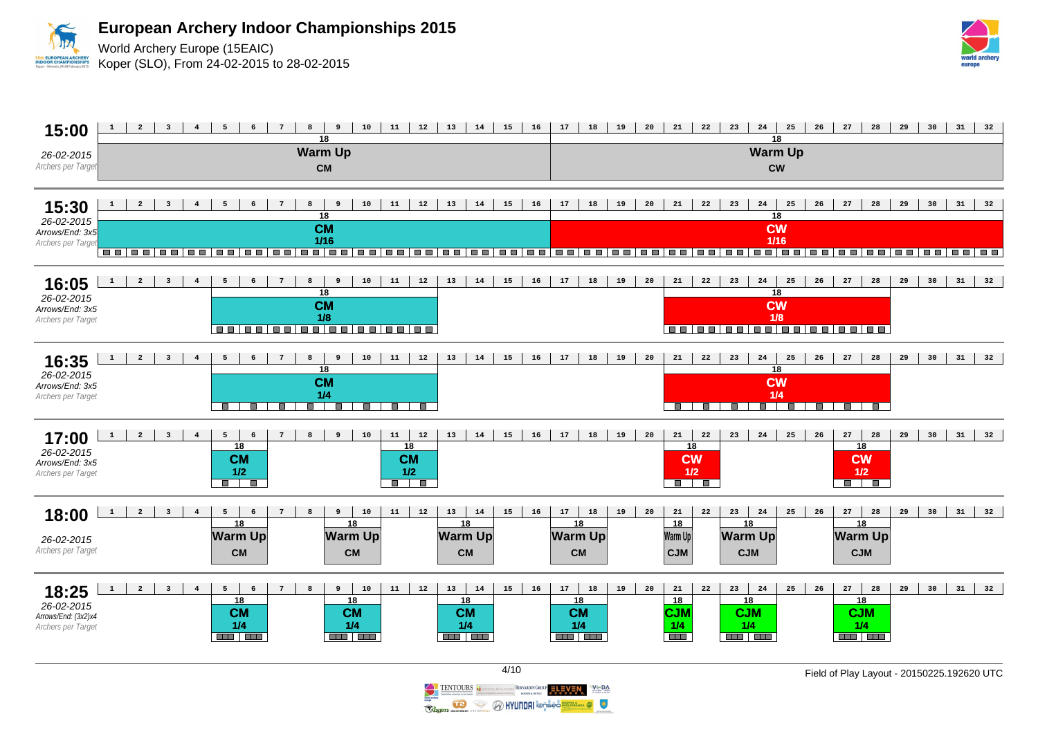

World Archery Europe (15EAIC) Koper (SLO), From 24-02-2015 to 28-02-2015





**O HYUNDAI** i@nseo<mark>!</mark>

BERNARDIN GROUP ELEVEN

 $V \oplus D$ 

 $\sum_{n=1}^{N}$ 

**TENTOURS** 

Ragim

 $\mathbf{G}$ S 4/10 Field of Play Layout - 20150225.192620 UTC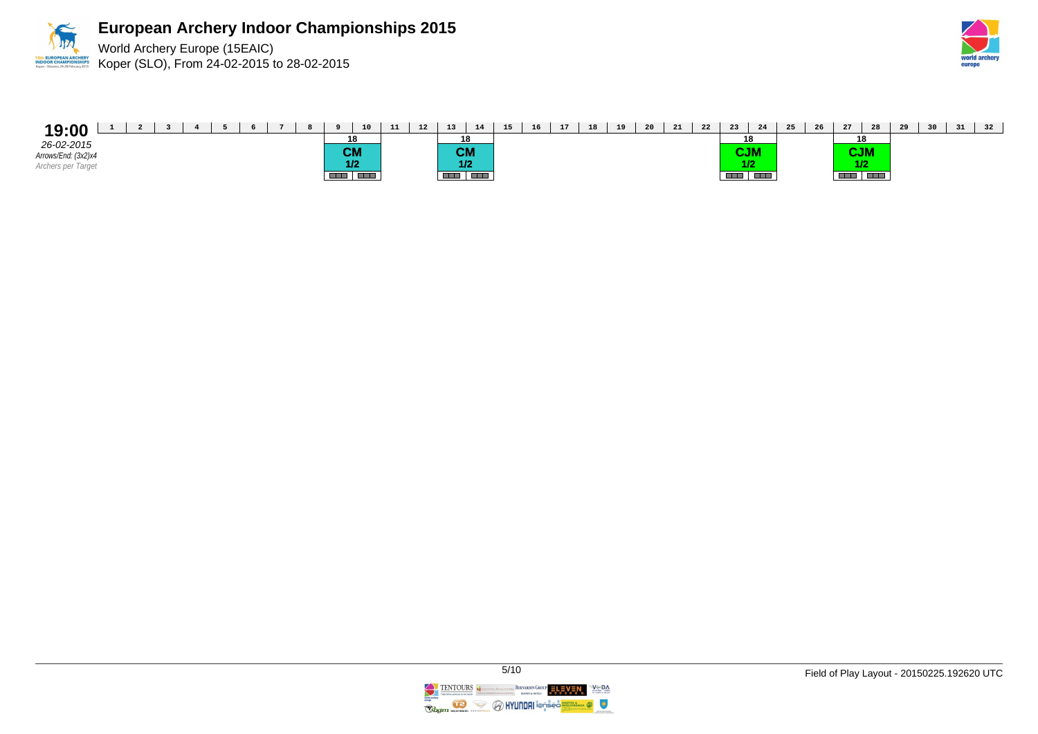



| 19:00               | $\overline{\phantom{a}}$ |  |  |  |           | 10 | 11 | 12 | 12<br>ᆠ   | 14    | 15 | 16 | 17 | 18 | 19 | 20 | 21 | 22 | 23                    | 24            | 25 | 26 | 27         | 28                | 29 | 30 | 31 | 32 |
|---------------------|--------------------------|--|--|--|-----------|----|----|----|-----------|-------|----|----|----|----|----|----|----|----|-----------------------|---------------|----|----|------------|-------------------|----|----|----|----|
| 26-02-2015          |                          |  |  |  | 18        |    |    |    |           | 18    |    |    |    |    |    |    |    |    | 18                    |               |    |    | 18         |                   |    |    |    |    |
| Arrows/End: (3x2)x4 |                          |  |  |  | <b>CM</b> |    |    |    | <b>CM</b> |       |    |    |    |    |    |    |    |    | <b>SIGN THE</b><br>uu |               |    |    | <b>CJM</b> |                   |    |    |    |    |
| Archers per Target  |                          |  |  |  | 1/2       |    |    |    |           | 1/2   |    |    |    |    |    |    |    |    |                       | 1/2           |    |    |            |                   |    |    |    |    |
|                     |                          |  |  |  |           |    |    |    |           | a Els |    |    |    |    |    |    |    |    | <b>TIP</b>            | <b>The Co</b> |    |    |            | <b>CONTRACTOR</b> |    |    |    |    |

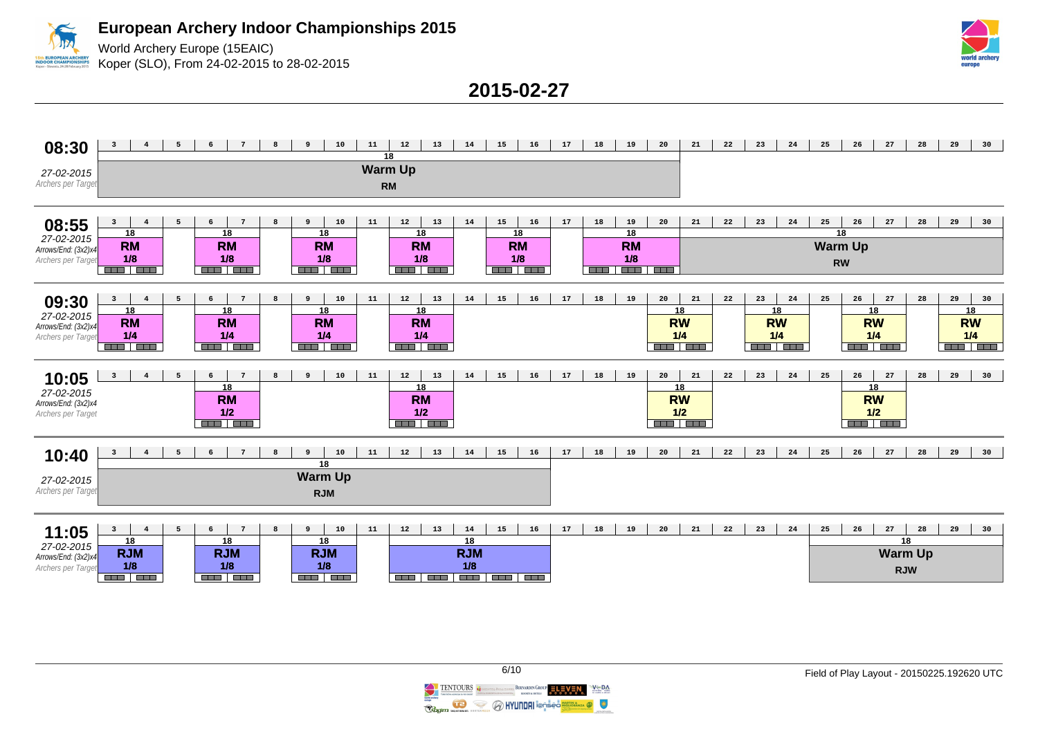

World Archery Europe (15EAIC) Koper (SLO), From 24-02-2015 to 28-02-2015



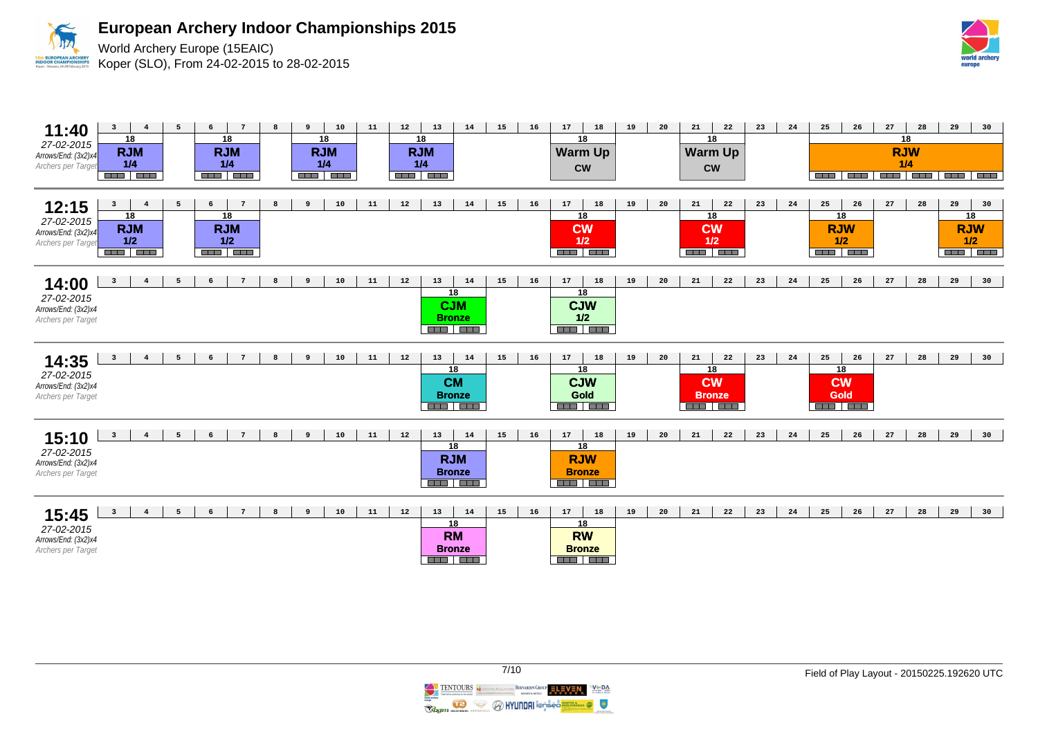

World Archery Europe (15EAIC) Koper (SLO), From 24-02-2015 to 28-02-2015



| 11:40<br>27-02-2015<br>Arrows/End: (3x2)x4<br>Archers per Target       | $\overline{\mathbf{3}}$<br>$\overline{4}$<br>18<br><b>RJM</b><br>1/4<br><b>RICH BELL</b> | 5              | 6 | $\overline{7}$<br>18<br><b>RJM</b><br>1/4<br><b>RED BEE</b> | 8                | 9 | 10<br>18<br><b>RJM</b><br>1/4<br>ana i pro | 11 | $12\,$ | 13<br>18<br><b>RJM</b><br>1/4<br><b>REEL ERE</b> | 14                                          | 15 | $16\,$ | 17              | 18<br>18<br><b>Warm Up</b><br><b>CW</b>                   | 19 | 20 | 21<br>18<br><b>Warm Up</b><br><b>CW</b>                     | 22 | 23 | 24 | 25<br><b>The Co</b>                                     | 26 | ${\bf 27}$<br>18<br><b>RJW</b><br>1/4<br>----------------- | 28 | 29                                              | 30 |
|------------------------------------------------------------------------|------------------------------------------------------------------------------------------|----------------|---|-------------------------------------------------------------|------------------|---|--------------------------------------------|----|--------|--------------------------------------------------|---------------------------------------------|----|--------|-----------------|-----------------------------------------------------------|----|----|-------------------------------------------------------------|----|----|----|---------------------------------------------------------|----|------------------------------------------------------------|----|-------------------------------------------------|----|
| 12:15<br>$27 - 02 - 2015$<br>Arrows/End: (3x2)x4<br>Archers per Target | $\mathbf{3}$<br>$\overline{4}$<br>18<br><b>RJM</b><br>$1/2$<br><b>BEE BEE</b>            | 5              | 6 | $\overline{7}$<br>18<br><b>RJM</b><br>1/2<br><b>BER HER</b> | 8                | 9 | 10                                         | 11 | 12     | 13                                               | 14                                          | 15 | 16     | 17<br><b>CW</b> | 18<br>18<br>$1/2$<br><b>REE TEE</b>                       | 19 | 20 | 21<br>18<br><b>CW</b><br>$1/2$<br><b>REAL PROPERTY</b>      | 22 | 23 | 24 | 25<br>18<br><b>RJW</b><br>1/2<br><b>REE 1888</b>        | 26 | 27                                                         | 28 | 29<br>18<br><b>RJW</b><br>1/2<br><b>BER BER</b> | 30 |
| 14:00<br>27-02-2015<br>Arrows/End: (3x2)x4<br>Archers per Target       | $\overline{\mathbf{3}}$<br>$4\overline{ }$                                               | 5              | 6 | $7\phantom{.0}$                                             | 8                | 9 | 10                                         | 11 | 12     | 13<br>18<br><b>CJM</b>                           | 14<br><b>Bronze</b><br><b>REE BEE</b>       | 15 | 16     | 17              | 18<br>18<br><b>CJW</b><br>$1/2$<br><b>REEL BREE</b>       | 19 | 20 | 21                                                          | 22 | 23 | 24 | 25                                                      | 26 | 27                                                         | 28 | 29                                              | 30 |
| 14:35<br>27-02-2015<br>Arrows/End: (3x2)x4<br>Archers per Target       | $\overline{4}$<br>$\overline{\mathbf{3}}$                                                | 5              | 6 | $7\overline{ }$                                             | $\boldsymbol{8}$ | 9 | 10                                         | 11 | 12     | 13<br>18<br><b>CM</b><br><b>Bronze</b>           | 14<br><b>RAD RAD</b>                        | 15 | 16     | 17<br>Gold      | 18<br>18<br><b>CJW</b><br><b>RAN REA</b>                  | 19 | 20 | 21<br>18<br><b>CW</b><br><b>Bronze</b><br><b>REAL PROPE</b> | 22 | 23 | 24 | 25<br>18<br><b>CW</b><br><b>Gold</b><br><b>REEL TEE</b> | 26 | 27                                                         | 28 | 29                                              | 30 |
| 15:10<br>27-02-2015<br>Arrows/End: (3x2)x4<br>Archers per Target       | $\overline{\mathbf{3}}$<br>$\overline{4}$                                                | 5              | 6 | $\overline{7}$                                              | 8                | 9 | 10                                         | 11 | 12     | 13<br>18<br><b>RJM</b>                           | 14<br><b>Bronze</b><br><b>REEL BEE</b>      | 15 | 16     | 17              | 18<br>18<br><b>RJW</b><br><b>Bronze</b><br><b>BER BER</b> | 19 | 20 | 21                                                          | 22 | 23 | 24 | 25                                                      | 26 | 27                                                         | 28 | 29                                              | 30 |
| 15:45<br>27-02-2015<br>Arrows/End: (3x2)x4<br>Archers per Target       | $\overline{\mathbf{3}}$<br>$\overline{4}$                                                | 5 <sup>5</sup> | 6 | $7^{\circ}$                                                 | 8                | 9 | 10                                         | 11 | 12     | 13<br>18<br><b>RM</b>                            | 14<br><b>Bronze</b><br><b>REAL PROPERTY</b> | 15 | 16     | 17              | 18<br>18<br><b>RW</b><br><b>Bronze</b><br><b>REEL BRE</b> | 19 | 20 | 21                                                          | 22 | 23 | 24 | 25                                                      | 26 | 27                                                         | 28 | 29                                              | 30 |

TENTOURS COMMUNISMENT BERNARDIN GROUP ELEVEN  $V \subseteq BA$ **Regiment Commences CONTINUES In Section 1999**  $\bullet$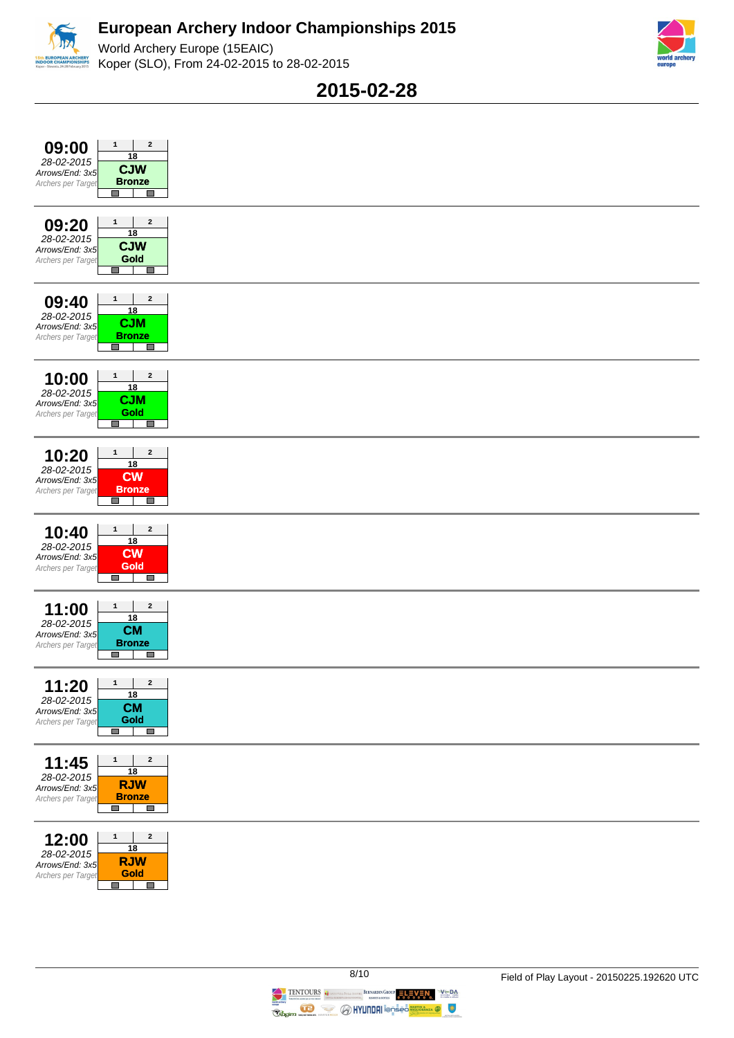





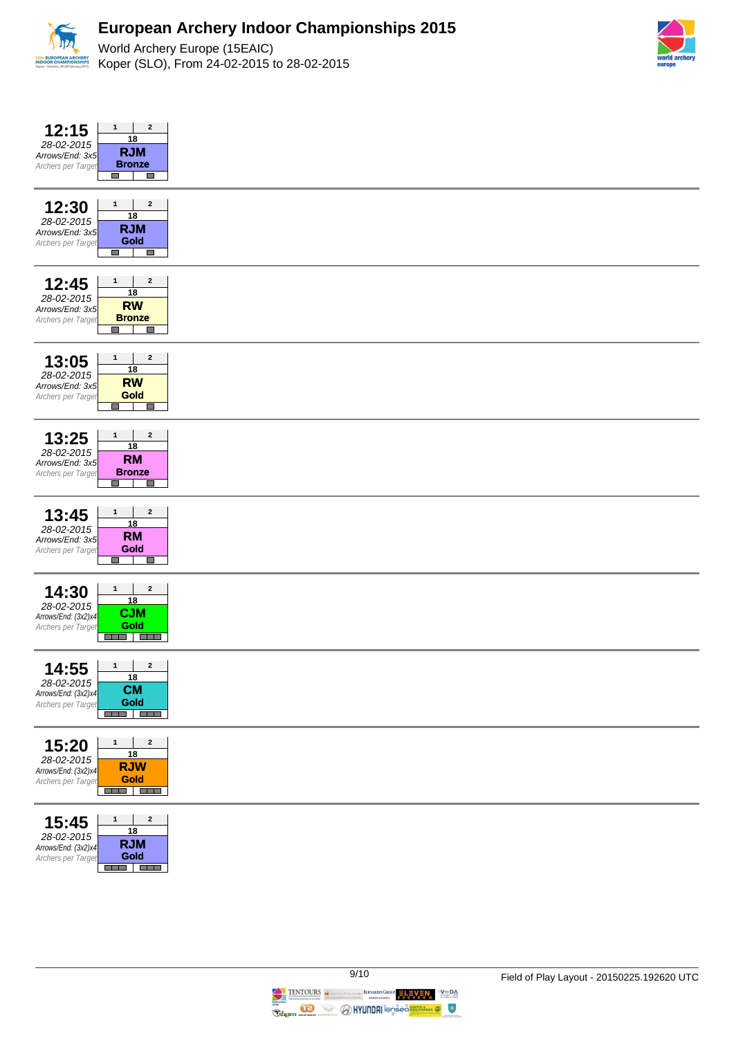



| $\mathbf{2}$<br>12:15<br>$\mathbf{1}$<br>18<br>28-02-2015<br><b>RJM</b><br>Arrows/End: 3x5<br><b>Bronze</b><br>Archers per Target<br><b>The State</b><br><b>Tall</b>                                                                         |
|----------------------------------------------------------------------------------------------------------------------------------------------------------------------------------------------------------------------------------------------|
| $\mathbf{2}$<br>12:30<br>$\mathbf{1}$<br>18<br>28-02-2015<br><b>RJM</b><br>Arrows/End: 3x5<br>Gold<br>Archers per Target<br>$\Box$<br>$\mathbb{R}^n$                                                                                         |
| $\mathbf{2}$<br>12:45<br>$\mathbf{1}$<br><u>18</u><br>28-02-2015<br><b>RW</b><br>Arrows/End: 3x5<br><b>Bronze</b><br>Archers per Target<br><b>The State</b><br>П                                                                             |
| 13:05<br>$\mathbf{1}$<br>$\overline{\mathbf{2}}$<br>18<br>28-02-2015<br><b>RW</b><br>Arrows/End: 3x5<br>Gold<br>Archers per Target<br>$\mathcal{L}_{\mathcal{A}}$<br><b>COL</b>                                                              |
| $\mathbf{2}$<br>$\mathbf{1}$<br>13:25<br>18<br>28-02-2015<br><b>RM</b><br>Arrows/End: 3x5<br><b>Bronze</b><br>Archers per Target<br>$\Box$<br>E.                                                                                             |
| $\mathbf{2}$<br>13:45<br>$\mathbf{1}$<br>18<br>28-02-2015<br><b>RM</b><br>Arrows/End: 3x5<br>Gold<br>Archers per Target<br>$\Box$<br>$\Box$                                                                                                  |
| $\mathbf{2}$<br>14:30<br>$\mathbf{1}$<br><u>18</u><br>28-02-2015<br><b>CJM</b><br>Arrows/End: (3x2)x4<br><b>Gold</b><br>Archers per Target<br>an a Tao                                                                                       |
| 4:55<br>$\mathbf{1}$<br>$\mathbf{2}$<br>1<br><u>18</u><br>28-02-2015<br><b>CM</b><br>Arrows/End: (3x2)x4<br>Gold<br>Archers per Target<br><b>RED RED</b>                                                                                     |
| $\mathbf{2}% =\mathbf{1}_{B}\left( \mathbf{1}_{B}\right) ^{\ast}\mathbf{1}_{B}\left( \mathbf{1}_{B}\right)$<br>$\mathbf 1$<br>15:20<br>18<br>28-02-2015<br><b>RJW</b><br>Arrows/End: (3x2)x4<br><b>Gold</b><br>Archers per Target<br>and and |
| $\mathbf 1$<br>$\mathbf{2}$<br>15:45<br>18<br>28-02-2015<br><b>RJM</b><br>Arrows/End: (3x2)x4<br>Gold<br>Archers per Target<br>ens   Ess                                                                                                     |